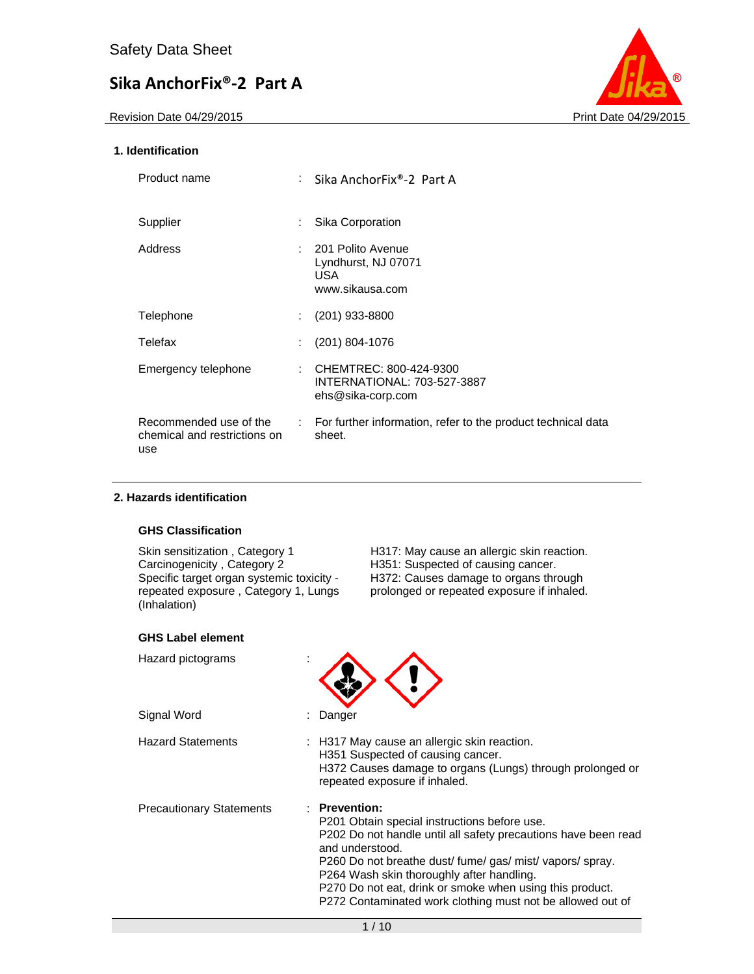Revision Date 04/29/2015 **Print Date 04/29/2015** 



### **1. Identification**

| Product name                                                  | : Sika AnchorFix®-2 Part A                                                 |
|---------------------------------------------------------------|----------------------------------------------------------------------------|
| Supplier                                                      | Sika Corporation                                                           |
| Address                                                       | : 201 Polito Avenue<br>Lyndhurst, NJ 07071<br>USA.<br>www.sikausa.com      |
| Telephone                                                     | $(201)$ 933-8800                                                           |
| Telefax                                                       | $(201)$ 804-1076                                                           |
| Emergency telephone                                           | CHEMTREC: 800-424-9300<br>INTERNATIONAL: 703-527-3887<br>ehs@sika-corp.com |
| Recommended use of the<br>chemical and restrictions on<br>use | : For further information, refer to the product technical data<br>sheet.   |

### **2. Hazards identification**

### **GHS Classification**

Specific target organ systemic toxicity repeated exposure , Category 1, Lungs (Inhalation)

Skin sensitization , Category 1 H317: May cause an allergic skin reaction.<br>Carcinogenicity , Category 2 H351: Suspected of causing cancer. H351: Suspected of causing cancer. H372: Causes damage to organs through prolonged or repeated exposure if inhaled.

| <b>GHS Label element</b>        |                                                                                                                                                                                                                                                                                                                                                                                        |
|---------------------------------|----------------------------------------------------------------------------------------------------------------------------------------------------------------------------------------------------------------------------------------------------------------------------------------------------------------------------------------------------------------------------------------|
| Hazard pictograms               |                                                                                                                                                                                                                                                                                                                                                                                        |
| Signal Word                     | Danger                                                                                                                                                                                                                                                                                                                                                                                 |
| <b>Hazard Statements</b>        | $\therefore$ H317 May cause an allergic skin reaction.<br>H351 Suspected of causing cancer.<br>H372 Causes damage to organs (Lungs) through prolonged or<br>repeated exposure if inhaled.                                                                                                                                                                                              |
| <b>Precautionary Statements</b> | : Prevention:<br>P201 Obtain special instructions before use.<br>P202 Do not handle until all safety precautions have been read<br>and understood.<br>P260 Do not breathe dust/ fume/ gas/ mist/ vapors/ spray.<br>P264 Wash skin thoroughly after handling.<br>P270 Do not eat, drink or smoke when using this product.<br>P272 Contaminated work clothing must not be allowed out of |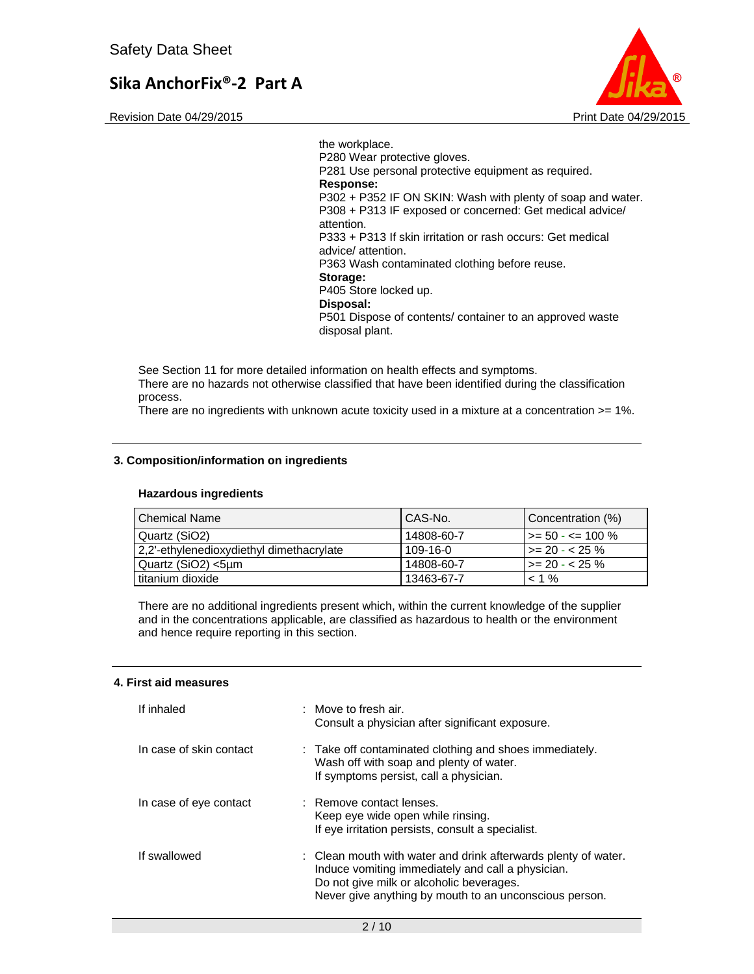Revision Date 04/29/2015 **Print Date 04/29/2015** Print Date 04/29/2015



the workplace. P280 Wear protective gloves. P281 Use personal protective equipment as required. **Response:**  P302 + P352 IF ON SKIN: Wash with plenty of soap and water. P308 + P313 IF exposed or concerned: Get medical advice/ attention. P333 + P313 If skin irritation or rash occurs: Get medical advice/ attention. P363 Wash contaminated clothing before reuse. **Storage:**  P405 Store locked up. **Disposal:**  P501 Dispose of contents/ container to an approved waste disposal plant.

See Section 11 for more detailed information on health effects and symptoms. There are no hazards not otherwise classified that have been identified during the classification process.

There are no ingredients with unknown acute toxicity used in a mixture at a concentration >= 1%.

### **3. Composition/information on ingredients**

### **Hazardous ingredients**

| l Chemical Name                          | CAS-No.    | Concentration (%)      |
|------------------------------------------|------------|------------------------|
| l Quartz (SiO2)                          | 14808-60-7 | l >= 50 - <= 100 %     |
| 2,2'-ethylenedioxydiethyl dimethacrylate | 109-16-0   | $\vert$ >= 20 - < 25 % |
| Quartz (SiO2) <5um                       | 14808-60-7 | $\vert$ >= 20 - < 25 % |
| titanium dioxide                         | 13463-67-7 | $< 1\%$                |

There are no additional ingredients present which, within the current knowledge of the supplier and in the concentrations applicable, are classified as hazardous to health or the environment and hence require reporting in this section.

### **4. First aid measures**

| If inhaled              | $\therefore$ Move to fresh air.<br>Consult a physician after significant exposure.                                                                                                                                        |
|-------------------------|---------------------------------------------------------------------------------------------------------------------------------------------------------------------------------------------------------------------------|
| In case of skin contact | : Take off contaminated clothing and shoes immediately.<br>Wash off with soap and plenty of water.<br>If symptoms persist, call a physician.                                                                              |
| In case of eye contact  | : Remove contact lenses.<br>Keep eye wide open while rinsing.<br>If eye irritation persists, consult a specialist.                                                                                                        |
| If swallowed            | : Clean mouth with water and drink afterwards plenty of water.<br>Induce vomiting immediately and call a physician.<br>Do not give milk or alcoholic beverages.<br>Never give anything by mouth to an unconscious person. |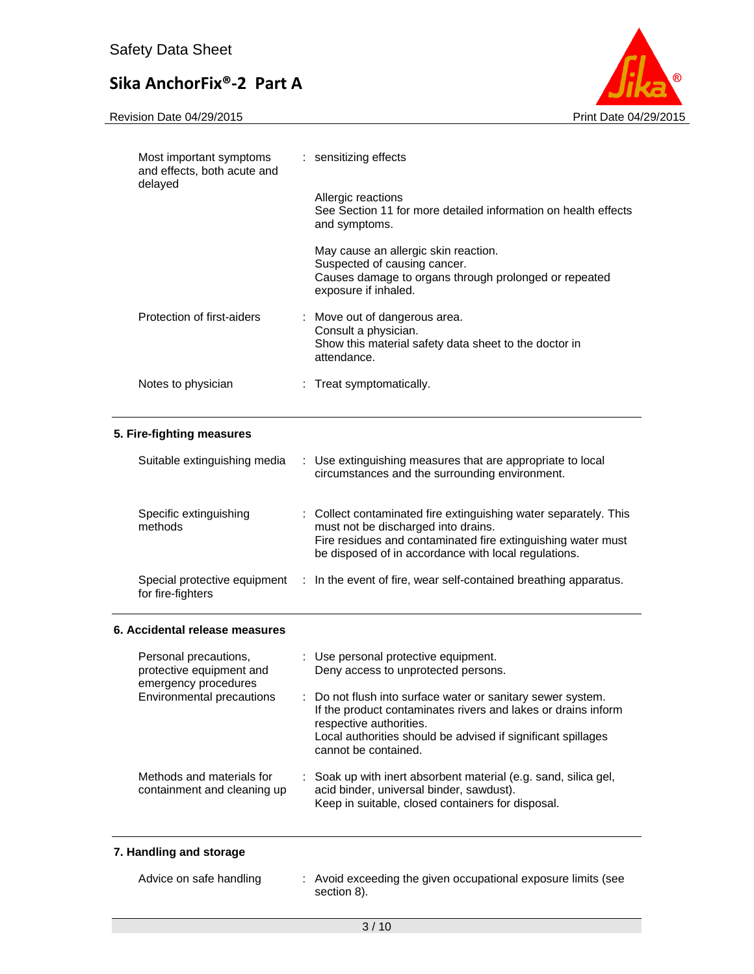

| Most important symptoms<br>and effects, both acute and<br>delayed                                      |    | : sensitizing effects                                                                                                                                                                                                                         |  |
|--------------------------------------------------------------------------------------------------------|----|-----------------------------------------------------------------------------------------------------------------------------------------------------------------------------------------------------------------------------------------------|--|
|                                                                                                        |    | Allergic reactions<br>See Section 11 for more detailed information on health effects<br>and symptoms.                                                                                                                                         |  |
|                                                                                                        |    | May cause an allergic skin reaction.<br>Suspected of causing cancer.<br>Causes damage to organs through prolonged or repeated<br>exposure if inhaled.                                                                                         |  |
| Protection of first-aiders                                                                             |    | : Move out of dangerous area.<br>Consult a physician.<br>Show this material safety data sheet to the doctor in<br>attendance.                                                                                                                 |  |
| Notes to physician                                                                                     |    | : Treat symptomatically.                                                                                                                                                                                                                      |  |
| 5. Fire-fighting measures                                                                              |    |                                                                                                                                                                                                                                               |  |
| Suitable extinguishing media                                                                           | ÷. | Use extinguishing measures that are appropriate to local<br>circumstances and the surrounding environment.                                                                                                                                    |  |
| Specific extinguishing<br>methods                                                                      |    | : Collect contaminated fire extinguishing water separately. This<br>must not be discharged into drains.<br>Fire residues and contaminated fire extinguishing water must<br>be disposed of in accordance with local regulations.               |  |
| Special protective equipment<br>for fire-fighters                                                      |    | : In the event of fire, wear self-contained breathing apparatus.                                                                                                                                                                              |  |
| 6. Accidental release measures                                                                         |    |                                                                                                                                                                                                                                               |  |
| Personal precautions,<br>protective equipment and<br>emergency procedures<br>Environmental precautions |    | : Use personal protective equipment.<br>Deny access to unprotected persons.                                                                                                                                                                   |  |
|                                                                                                        |    | Do not flush into surface water or sanitary sewer system.<br>If the product contaminates rivers and lakes or drains inform<br>respective authorities.<br>Local authorities should be advised if significant spillages<br>cannot be contained. |  |
| Methods and materials for<br>containment and cleaning up                                               |    | Soak up with inert absorbent material (e.g. sand, silica gel,<br>acid binder, universal binder, sawdust).<br>Keep in suitable, closed containers for disposal.                                                                                |  |

### **7. Handling and storage**

| Advice on safe handling | : Avoid exceeding the given occupational exposure limits (see |
|-------------------------|---------------------------------------------------------------|
|                         | section 8).                                                   |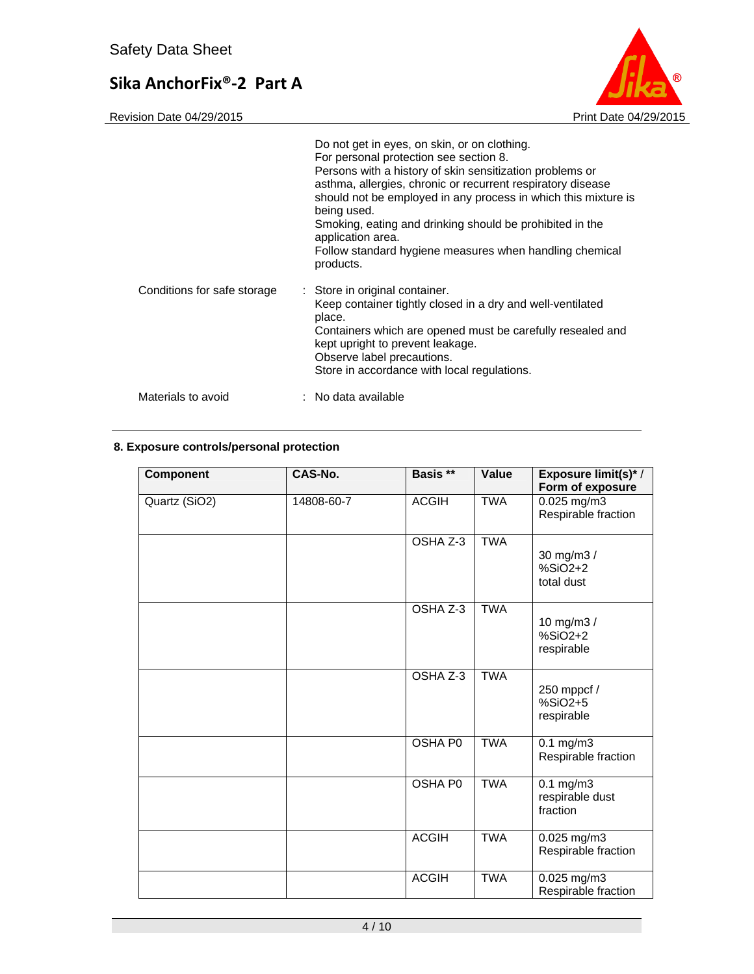

|                             | Do not get in eyes, on skin, or on clothing.<br>For personal protection see section 8.<br>Persons with a history of skin sensitization problems or<br>asthma, allergies, chronic or recurrent respiratory disease<br>should not be employed in any process in which this mixture is<br>being used.<br>Smoking, eating and drinking should be prohibited in the<br>application area.<br>Follow standard hygiene measures when handling chemical<br>products. |
|-----------------------------|-------------------------------------------------------------------------------------------------------------------------------------------------------------------------------------------------------------------------------------------------------------------------------------------------------------------------------------------------------------------------------------------------------------------------------------------------------------|
| Conditions for safe storage | : Store in original container.<br>Keep container tightly closed in a dry and well-ventilated<br>place.<br>Containers which are opened must be carefully resealed and<br>kept upright to prevent leakage.<br>Observe label precautions.<br>Store in accordance with local regulations.                                                                                                                                                                       |
| Materials to avoid          | $:$ No data available                                                                                                                                                                                                                                                                                                                                                                                                                                       |

### **8. Exposure controls/personal protection**

| Component     | CAS-No.    | Basis **       | Value      | <b>Exposure limit(s)*/</b><br>Form of exposure |
|---------------|------------|----------------|------------|------------------------------------------------|
| Quartz (SiO2) | 14808-60-7 | <b>ACGIH</b>   | <b>TWA</b> | $0.025$ mg/m3<br>Respirable fraction           |
|               |            | OSHA Z-3       | <b>TWA</b> | 30 mg/m3 /<br>$%SiO2+2$<br>total dust          |
|               |            | OSHA Z-3       | <b>TWA</b> | 10 mg/m3 /<br>$%SiO2+2$<br>respirable          |
|               |            | OSHA Z-3       | <b>TWA</b> | 250 mppcf /<br>%SiO2+5<br>respirable           |
|               |            | <b>OSHA PO</b> | <b>TWA</b> | $0.1 \text{ mg/m}$<br>Respirable fraction      |
|               |            | OSHA P0        | <b>TWA</b> | $0.1$ mg/m $3$<br>respirable dust<br>fraction  |
|               |            | <b>ACGIH</b>   | <b>TWA</b> | 0.025 mg/m3<br>Respirable fraction             |
|               |            | <b>ACGIH</b>   | <b>TWA</b> | 0.025 mg/m3<br>Respirable fraction             |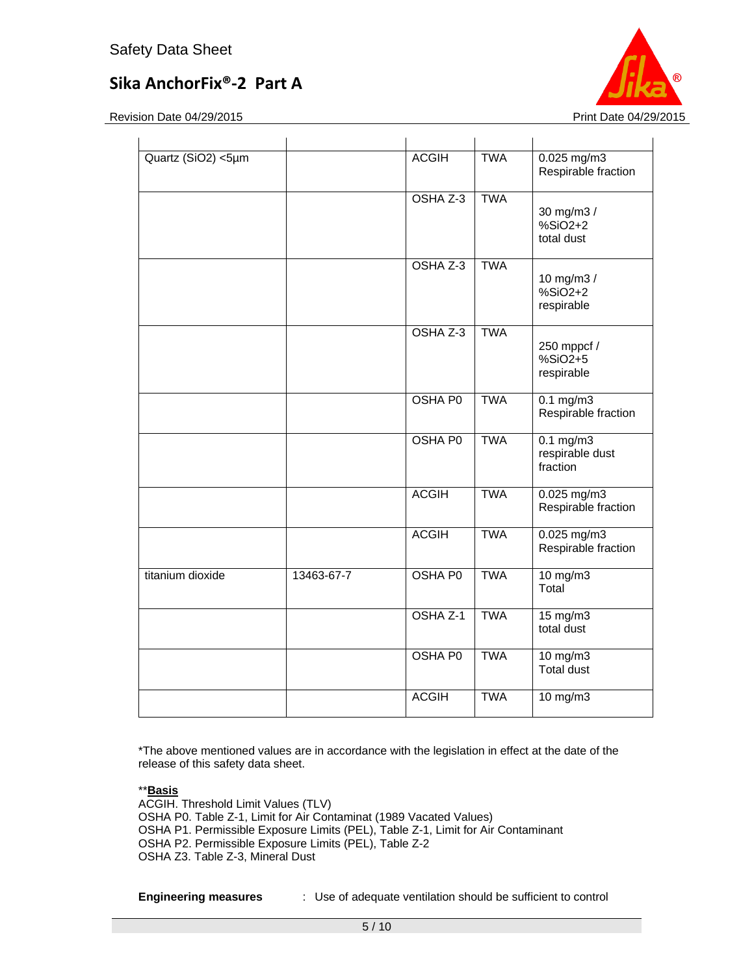Revision Date 04/29/2015 **Print Date 04/29/2015** 



| Quartz (SiO2) <5µm |            | <b>ACGIH</b>   | <b>TWA</b> | $0.025$ mg/m3<br>Respirable fraction          |
|--------------------|------------|----------------|------------|-----------------------------------------------|
|                    |            | OSHA Z-3       | <b>TWA</b> | 30 mg/m3 /<br>$%SiO2+2$<br>total dust         |
|                    |            | OSHA Z-3       | <b>TWA</b> | 10 mg/m3 /<br>$%SiO2+2$<br>respirable         |
|                    |            | OSHA Z-3       | <b>TWA</b> | 250 mppcf /<br>$%SiO2+5$<br>respirable        |
|                    |            | <b>OSHA P0</b> | <b>TWA</b> | $0.1 \text{ mg/m}$<br>Respirable fraction     |
|                    |            | <b>OSHA P0</b> | <b>TWA</b> | $0.1$ mg/m $3$<br>respirable dust<br>fraction |
|                    |            | <b>ACGIH</b>   | <b>TWA</b> | $0.025$ mg/m3<br>Respirable fraction          |
|                    |            | <b>ACGIH</b>   | <b>TWA</b> | $0.025$ mg/m3<br>Respirable fraction          |
| titanium dioxide   | 13463-67-7 | <b>OSHA P0</b> | <b>TWA</b> | $10$ mg/m $3$<br>Total                        |
|                    |            | OSHA Z-1       | <b>TWA</b> | $15 \text{ mg/m}$<br>total dust               |
|                    |            | <b>OSHA P0</b> | <b>TWA</b> | $10$ mg/m $3$<br>Total dust                   |
|                    |            | <b>ACGIH</b>   | <b>TWA</b> | 10 mg/m3                                      |

\*The above mentioned values are in accordance with the legislation in effect at the date of the release of this safety data sheet.

\*\***Basis** 

ACGIH. Threshold Limit Values (TLV) OSHA P0. Table Z-1, Limit for Air Contaminat (1989 Vacated Values) OSHA P1. Permissible Exposure Limits (PEL), Table Z-1, Limit for Air Contaminant OSHA P2. Permissible Exposure Limits (PEL), Table Z-2 OSHA Z3. Table Z-3, Mineral Dust

**Engineering measures** : Use of adequate ventilation should be sufficient to control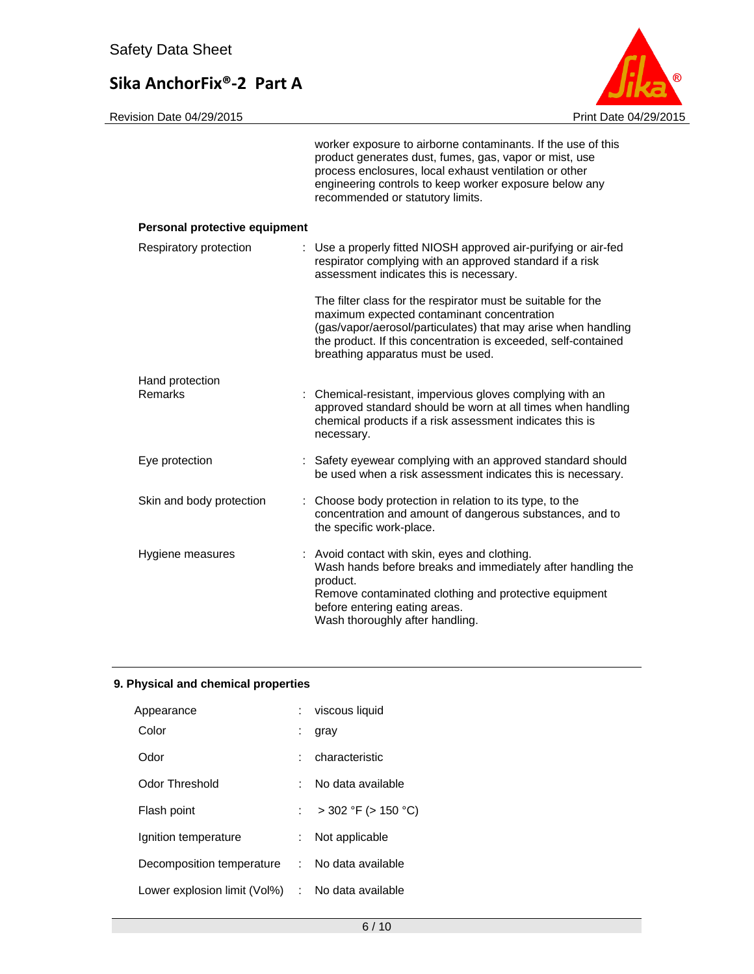

### **Personal protective equipment**

| Respiratory protection   | : Use a properly fitted NIOSH approved air-purifying or air-fed<br>respirator complying with an approved standard if a risk<br>assessment indicates this is necessary.                                                                                                             |  |
|--------------------------|------------------------------------------------------------------------------------------------------------------------------------------------------------------------------------------------------------------------------------------------------------------------------------|--|
|                          | The filter class for the respirator must be suitable for the<br>maximum expected contaminant concentration<br>(gas/vapor/aerosol/particulates) that may arise when handling<br>the product. If this concentration is exceeded, self-contained<br>breathing apparatus must be used. |  |
| Hand protection          |                                                                                                                                                                                                                                                                                    |  |
| Remarks                  | : Chemical-resistant, impervious gloves complying with an<br>approved standard should be worn at all times when handling<br>chemical products if a risk assessment indicates this is<br>necessary.                                                                                 |  |
| Eye protection           | : Safety eyewear complying with an approved standard should<br>be used when a risk assessment indicates this is necessary.                                                                                                                                                         |  |
| Skin and body protection | : Choose body protection in relation to its type, to the<br>concentration and amount of dangerous substances, and to<br>the specific work-place.                                                                                                                                   |  |
| Hygiene measures         | : Avoid contact with skin, eyes and clothing.<br>Wash hands before breaks and immediately after handling the<br>product.<br>Remove contaminated clothing and protective equipment<br>before entering eating areas.<br>Wash thoroughly after handling.                              |  |

### **9. Physical and chemical properties**

| Appearance                                       |    | viscous liquid           |
|--------------------------------------------------|----|--------------------------|
| Color                                            |    | gray                     |
| Odor                                             |    | characteristic           |
| Odor Threshold                                   |    | No data available        |
| Flash point                                      |    | $>$ 302 °F ( $>$ 150 °C) |
| Ignition temperature                             | ÷. | Not applicable           |
| Decomposition temperature : No data available    |    |                          |
| Lower explosion limit (Vol%) : No data available |    |                          |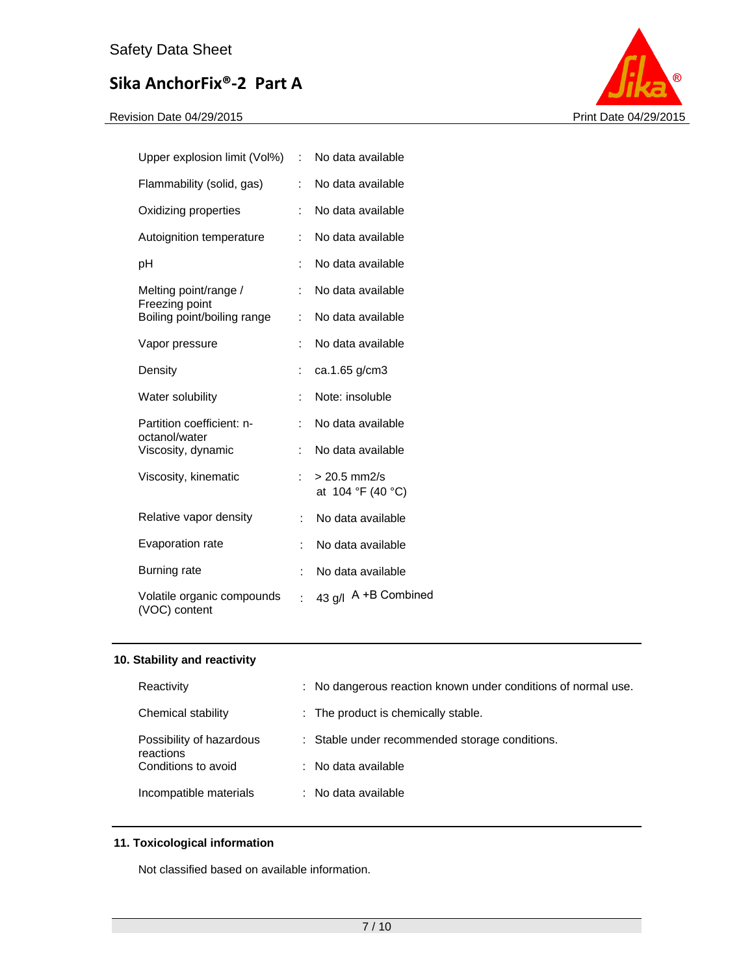

| Upper explosion limit (Vol%)                | t.                   | No data available                   |
|---------------------------------------------|----------------------|-------------------------------------|
| Flammability (solid, gas)                   |                      | No data available                   |
| Oxidizing properties                        |                      | No data available                   |
| Autoignition temperature                    | ÷                    | No data available                   |
| рH                                          | ÷                    | No data available                   |
| Melting point/range /<br>Freezing point     | ÷                    | No data available                   |
| Boiling point/boiling range                 | ÷.                   | No data available                   |
| Vapor pressure                              | $\ddot{\phantom{a}}$ | No data available                   |
| Density                                     | :                    | ca.1.65 g/cm3                       |
| Water solubility                            | ÷                    | Note: insoluble                     |
| Partition coefficient: n-<br>octanol/water  | ÷                    | No data available                   |
| Viscosity, dynamic                          | $\ddot{\phantom{a}}$ | No data available                   |
| Viscosity, kinematic                        | ÷                    | $> 20.5$ mm2/s<br>at 104 °F (40 °C) |
| Relative vapor density                      | ÷                    | No data available                   |
| Evaporation rate                            | ÷                    | No data available                   |
| Burning rate                                | ÷                    | No data available                   |
| Volatile organic compounds<br>(VOC) content | ÷                    | 43 g/l A +B Combined                |

### **10. Stability and reactivity**

| Reactivity                            | : No dangerous reaction known under conditions of normal use. |
|---------------------------------------|---------------------------------------------------------------|
| Chemical stability                    | : The product is chemically stable.                           |
| Possibility of hazardous<br>reactions | : Stable under recommended storage conditions.                |
| Conditions to avoid                   | : No data available                                           |
| Incompatible materials                | : No data available                                           |

### **11. Toxicological information**

Not classified based on available information.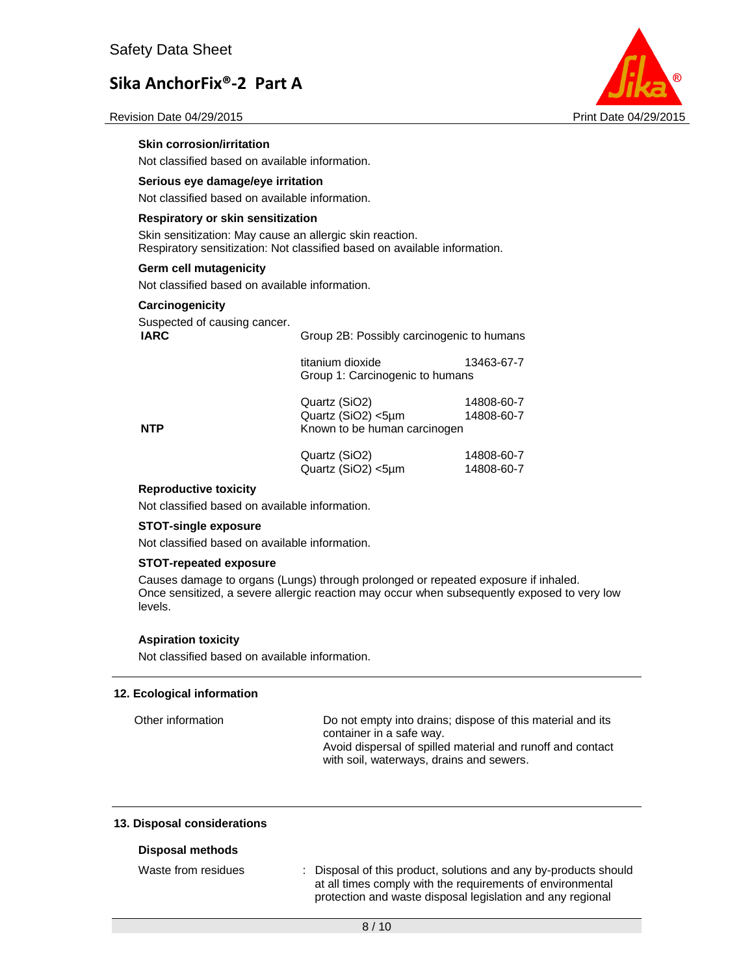**Skin corrosion/irritation** 

Not classified based on available information.



Revision Date 04/29/2015 **Print Date 04/29/2015** Print Date 04/29/2015

| Serious eye damage/eye irritation                        |                                                                           |                          |  |  |
|----------------------------------------------------------|---------------------------------------------------------------------------|--------------------------|--|--|
| Not classified based on available information.           |                                                                           |                          |  |  |
| Respiratory or skin sensitization                        |                                                                           |                          |  |  |
| Skin sensitization: May cause an allergic skin reaction. | Respiratory sensitization: Not classified based on available information. |                          |  |  |
| Germ cell mutagenicity                                   |                                                                           |                          |  |  |
| Not classified based on available information.           |                                                                           |                          |  |  |
| Carcinogenicity                                          |                                                                           |                          |  |  |
| Suspected of causing cancer.<br><b>IARC</b>              | Group 2B: Possibly carcinogenic to humans                                 |                          |  |  |
|                                                          | titanium dioxide<br>Group 1: Carcinogenic to humans                       | 13463-67-7               |  |  |
| NTP                                                      | Quartz (SiO2)<br>Quartz (SiO2) <5µm<br>Known to be human carcinogen       | 14808-60-7<br>14808-60-7 |  |  |
|                                                          | Quartz (SiO2)<br>Quartz (SiO2) <5µm                                       | 14808-60-7<br>14808-60-7 |  |  |

### **Reproductive toxicity**

Not classified based on available information.

#### **STOT-single exposure**

Not classified based on available information.

### **STOT-repeated exposure**

Causes damage to organs (Lungs) through prolonged or repeated exposure if inhaled. Once sensitized, a severe allergic reaction may occur when subsequently exposed to very low levels.

#### **Aspiration toxicity**

Not classified based on available information.

### **12. Ecological information**

| Other information | Do not empty into drains; dispose of this material and its<br>container in a safe way.                 |
|-------------------|--------------------------------------------------------------------------------------------------------|
|                   | Avoid dispersal of spilled material and runoff and contact<br>with soil, waterways, drains and sewers. |

#### **13. Disposal considerations**

#### **Disposal methods**

Waste from residues : Disposal of this product, solutions and any by-products should at all times comply with the requirements of environmental protection and waste disposal legislation and any regional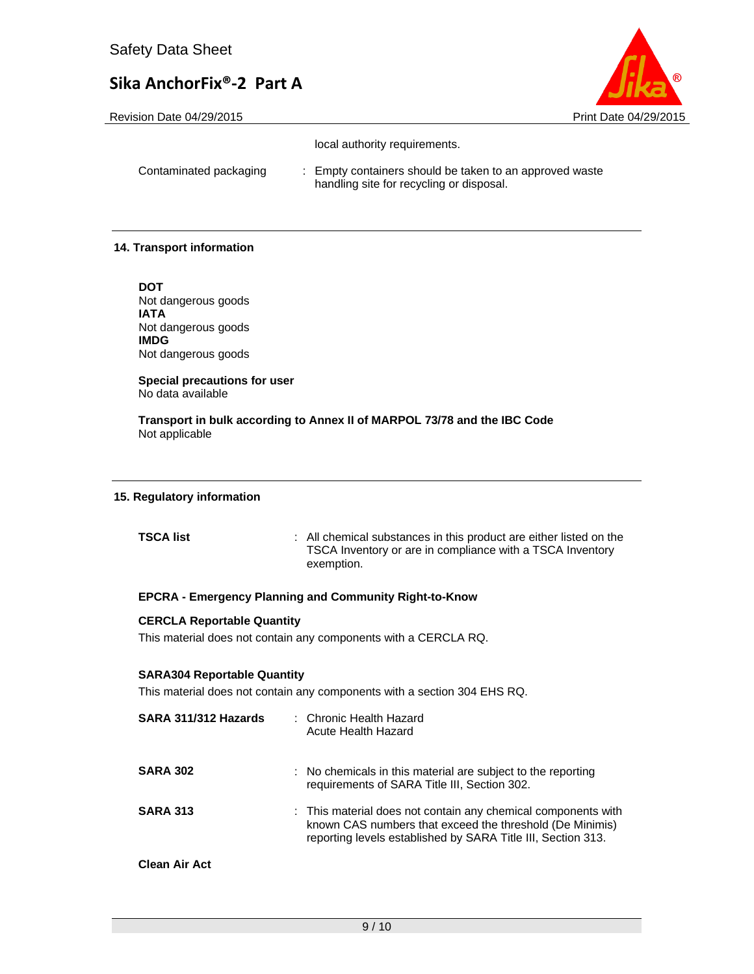Revision Date 04/29/2015 **Print Date 04/29/2015** Print Date 04/29/2015



| local authority requirements. |  |
|-------------------------------|--|
|                               |  |

| Contaminated packaging | Empty containers should be taken to an approved waste |
|------------------------|-------------------------------------------------------|
|                        | handling site for recycling or disposal.              |

### **14. Transport information**

**DOT**  Not dangerous goods **IATA**  Not dangerous goods **IMDG**  Not dangerous goods

**Special precautions for user** No data available

**Transport in bulk according to Annex II of MARPOL 73/78 and the IBC Code**  Not applicable

#### **15. Regulatory information**

**TSCA list** : All chemical substances in this product are either listed on the TSCA Inventory or are in compliance with a TSCA Inventory exemption.

#### **EPCRA - Emergency Planning and Community Right-to-Know**

#### **CERCLA Reportable Quantity**

This material does not contain any components with a CERCLA RQ.

#### **SARA304 Reportable Quantity**

This material does not contain any components with a section 304 EHS RQ.

| SARA 311/312 Hazards | : Chronic Health Hazard<br>Acute Health Hazard                                                                                                                                            |
|----------------------|-------------------------------------------------------------------------------------------------------------------------------------------------------------------------------------------|
| <b>SARA 302</b>      | : No chemicals in this material are subject to the reporting<br>requirements of SARA Title III, Section 302.                                                                              |
| <b>SARA 313</b>      | : This material does not contain any chemical components with<br>known CAS numbers that exceed the threshold (De Minimis)<br>reporting levels established by SARA Title III, Section 313. |
| <b>Clean Air Act</b> |                                                                                                                                                                                           |